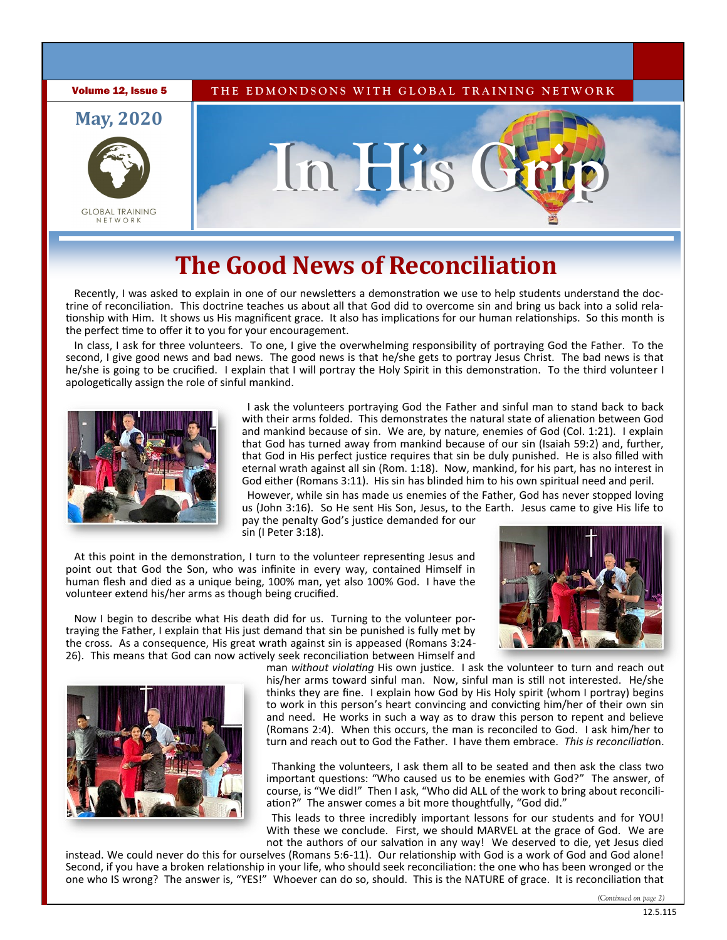

# **The Good News of Reconciliation**

Recently, I was asked to explain in one of our newsletters a demonstration we use to help students understand the doctrine of reconciliation. This doctrine teaches us about all that God did to overcome sin and bring us back into a solid relationship with Him. It shows us His magnificent grace. It also has implications for our human relationships. So this month is the perfect time to offer it to you for your encouragement.

In class, I ask for three volunteers. To one, I give the overwhelming responsibility of portraying God the Father. To the second, I give good news and bad news. The good news is that he/she gets to portray Jesus Christ. The bad news is that he/she is going to be crucified. I explain that I will portray the Holy Spirit in this demonstration. To the third volunteer I apologetically assign the role of sinful mankind.



 I ask the volunteers portraying God the Father and sinful man to stand back to back with their arms folded. This demonstrates the natural state of alienation between God and mankind because of sin. We are, by nature, enemies of God (Col. 1:21). I explain that God has turned away from mankind because of our sin (Isaiah 59:2) and, further, that God in His perfect justice requires that sin be duly punished. He is also filled with eternal wrath against all sin (Rom. 1:18). Now, mankind, for his part, has no interest in God either (Romans 3:11). His sin has blinded him to his own spiritual need and peril.

 However, while sin has made us enemies of the Father, God has never stopped loving us (John 3:16). So He sent His Son, Jesus, to the Earth. Jesus came to give His life to pay the penalty God's justice demanded for our sin (I Peter 3:18).

At this point in the demonstration, I turn to the volunteer representing Jesus and point out that God the Son, who was infinite in every way, contained Himself in human flesh and died as a unique being, 100% man, yet also 100% God. I have the volunteer extend his/her arms as though being crucified.

Now I begin to describe what His death did for us. Turning to the volunteer portraying the Father, I explain that His just demand that sin be punished is fully met by the cross. As a consequence, His great wrath against sin is appeased (Romans 3:24- 26). This means that God can now actively seek reconciliation between Himself and





man *without violating* His own justice. I ask the volunteer to turn and reach out his/her arms toward sinful man. Now, sinful man is still not interested. He/she thinks they are fine. I explain how God by His Holy spirit (whom I portray) begins to work in this person's heart convincing and convicting him/her of their own sin and need. He works in such a way as to draw this person to repent and believe (Romans 2:4). When this occurs, the man is reconciled to God. I ask him/her to turn and reach out to God the Father. I have them embrace. *This is reconciliatio*n.

 Thanking the volunteers, I ask them all to be seated and then ask the class two important questions: "Who caused us to be enemies with God?" The answer, of course, is "We did!" Then I ask, "Who did ALL of the work to bring about reconciliation?" The answer comes a bit more thoughtfully, "God did."

 This leads to three incredibly important lessons for our students and for YOU! With these we conclude. First, we should MARVEL at the grace of God. We are not the authors of our salvation in any way! We deserved to die, yet Jesus died

instead. We could never do this for ourselves (Romans 5:6-11). Our relationship with God is a work of God and God alone! Second, if you have a broken relationship in your life, who should seek reconciliation: the one who has been wronged or the one who IS wrong? The answer is, "YES!" Whoever can do so, should. This is the NATURE of grace. It is reconciliation that